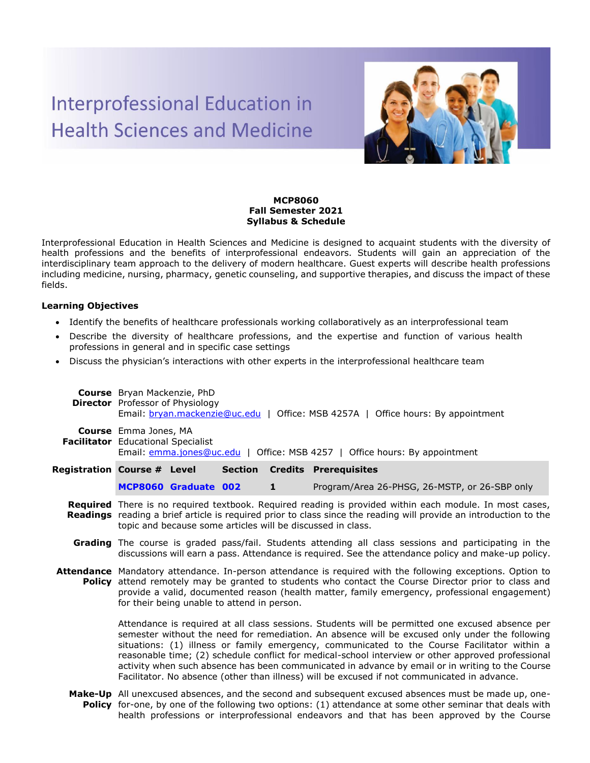## **Interprofessional Education in Health Sciences and Medicine**



## **MCP8060 Fall Semester 2021 Syllabus & Schedule**

Interprofessional Education in Health Sciences and Medicine is designed to acquaint students with the diversity of health professions and the benefits of interprofessional endeavors. Students will gain an appreciation of the interdisciplinary team approach to the delivery of modern healthcare. Guest experts will describe health professions including medicine, nursing, pharmacy, genetic counseling, and supportive therapies, and discuss the impact of these fields.

## **Learning Objectives**

- Identify the benefits of healthcare professionals working collaboratively as an interprofessional team
- Describe the diversity of healthcare professions, and the expertise and function of various health professions in general and in specific case settings
- Discuss the physician's interactions with other experts in the interprofessional healthcare team

|                                    | <b>Course</b> Bryan Mackenzie, PhD<br><b>Director</b> Professor of Physiology<br>Email: bryan.mackenzie@uc.edu   Office: MSB 4257A   Office hours: By appointment                                                                                                                                                                                                                                                                                                                                                                                                                                            |                      |  |              |                                                                                                                                                                                                                                   |  |  |
|------------------------------------|--------------------------------------------------------------------------------------------------------------------------------------------------------------------------------------------------------------------------------------------------------------------------------------------------------------------------------------------------------------------------------------------------------------------------------------------------------------------------------------------------------------------------------------------------------------------------------------------------------------|----------------------|--|--------------|-----------------------------------------------------------------------------------------------------------------------------------------------------------------------------------------------------------------------------------|--|--|
|                                    | Course Emma Jones, MA<br>Facilitator Educational Specialist<br>Email: emma.jones@uc.edu   Office: MSB 4257   Office hours: By appointment                                                                                                                                                                                                                                                                                                                                                                                                                                                                    |                      |  |              |                                                                                                                                                                                                                                   |  |  |
| <b>Registration Course # Level</b> |                                                                                                                                                                                                                                                                                                                                                                                                                                                                                                                                                                                                              |                      |  |              | <b>Section Credits Prerequisites</b>                                                                                                                                                                                              |  |  |
|                                    |                                                                                                                                                                                                                                                                                                                                                                                                                                                                                                                                                                                                              | MCP8060 Graduate 002 |  | $\mathbf{1}$ | Program/Area 26-PHSG, 26-MSTP, or 26-SBP only                                                                                                                                                                                     |  |  |
|                                    | Required There is no required textbook. Required reading is provided within each module. In most cases,<br>Readings reading a brief article is required prior to class since the reading will provide an introduction to the<br>topic and because some articles will be discussed in class.                                                                                                                                                                                                                                                                                                                  |                      |  |              |                                                                                                                                                                                                                                   |  |  |
|                                    | Grading The course is graded pass/fail. Students attending all class sessions and participating in the<br>discussions will earn a pass. Attendance is required. See the attendance policy and make-up policy.                                                                                                                                                                                                                                                                                                                                                                                                |                      |  |              |                                                                                                                                                                                                                                   |  |  |
|                                    | Attendance Mandatory attendance. In-person attendance is required with the following exceptions. Option to<br><b>Policy</b> attend remotely may be granted to students who contact the Course Director prior to class and<br>provide a valid, documented reason (health matter, family emergency, professional engagement)<br>for their being unable to attend in person.                                                                                                                                                                                                                                    |                      |  |              |                                                                                                                                                                                                                                   |  |  |
|                                    | Attendance is required at all class sessions. Students will be permitted one excused absence per<br>semester without the need for remediation. An absence will be excused only under the following<br>situations: (1) illness or family emergency, communicated to the Course Facilitator within a<br>reasonable time; (2) schedule conflict for medical-school interview or other approved professional<br>activity when such absence has been communicated in advance by email or in writing to the Course<br>Facilitator. No absence (other than illness) will be excused if not communicated in advance. |                      |  |              |                                                                                                                                                                                                                                   |  |  |
|                                    |                                                                                                                                                                                                                                                                                                                                                                                                                                                                                                                                                                                                              |                      |  |              | $\mathbf{r}$ , and the contract of the contract of the contract of the contract of the contract of the contract of the contract of the contract of the contract of the contract of the contract of the contract of the contract o |  |  |

**Make-Up**  All unexcused absences, and the second and subsequent excused absences must be made up, one-**Policy** for-one, by one of the following two options: (1) attendance at some other seminar that deals with health professions or interprofessional endeavors and that has been approved by the Course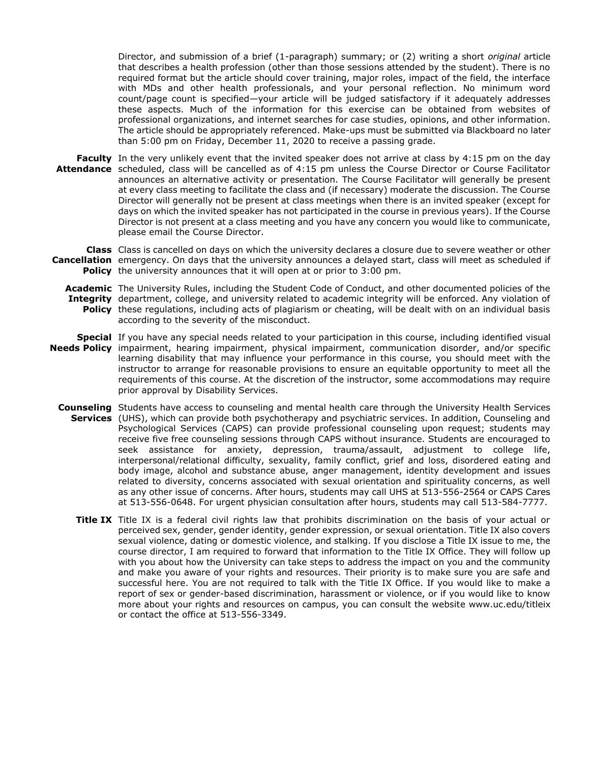Director, and submission of a brief (1-paragraph) summary; or (2) writing a short *original* article that describes a health profession (other than those sessions attended by the student). There is no required format but the article should cover training, major roles, impact of the field, the interface with MDs and other health professionals, and your personal reflection. No minimum word count/page count is specified—your article will be judged satisfactory if it adequately addresses these aspects. Much of the information for this exercise can be obtained from websites of professional organizations, and internet searches for case studies, opinions, and other information. The article should be appropriately referenced. Make-ups must be submitted via Blackboard no later than 5:00 pm on Friday, December 11, 2020 to receive a passing grade.

**Faculty** In the very unlikely event that the invited speaker does not arrive at class by 4:15 pm on the day **Attendance** scheduled, class will be cancelled as of 4:15 pm unless the Course Director or Course Facilitator announces an alternative activity or presentation. The Course Facilitator will generally be present at every class meeting to facilitate the class and (if necessary) moderate the discussion. The Course Director will generally not be present at class meetings when there is an invited speaker (except for days on which the invited speaker has not participated in the course in previous years). If the Course Director is not present at a class meeting and you have any concern you would like to communicate, please email the Course Director.

**Class**  Class is cancelled on days on which the university declares a closure due to severe weather or other **Cancellation** emergency. On days that the university announces a delayed start, class will meet as scheduled if **Policy** the university announces that it will open at or prior to 3:00 pm.

**Academic**  The University Rules, including the Student Code of Conduct, and other documented policies of the **Integrity**  department, college, and university related to academic integrity will be enforced. Any violation of **Policy** these regulations, including acts of plagiarism or cheating, will be dealt with on an individual basis according to the severity of the misconduct.

- **Special**  If you have any special needs related to your participation in this course, including identified visual **Needs Policy** impairment, hearing impairment, physical impairment, communication disorder, and/or specific learning disability that may influence your performance in this course, you should meet with the instructor to arrange for reasonable provisions to ensure an equitable opportunity to meet all the requirements of this course. At the discretion of the instructor, some accommodations may require prior approval by Disability Services.
	- **Counseling**  Students have access to counseling and mental health care through the University Health Services **Services** (UHS), which can provide both psychotherapy and psychiatric services. In addition, Counseling and Psychological Services (CAPS) can provide professional counseling upon request; students may receive five free counseling sessions through CAPS without insurance. Students are encouraged to seek assistance for anxiety, depression, trauma/assault, adjustment to college life, interpersonal/relational difficulty, sexuality, family conflict, grief and loss, disordered eating and body image, alcohol and substance abuse, anger management, identity development and issues related to diversity, concerns associated with sexual orientation and spirituality concerns, as well as any other issue of concerns. After hours, students may call UHS at 513-556-2564 or CAPS Cares at 513-556-0648. For urgent physician consultation after hours, students may call 513-584-7777.
		- **Title IX** Title IX is a federal civil rights law that prohibits discrimination on the basis of your actual or perceived sex, gender, gender identity, gender expression, or sexual orientation. Title IX also covers sexual violence, dating or domestic violence, and stalking. If you disclose a Title IX issue to me, the course director, I am required to forward that information to the Title IX Office. They will follow up with you about how the University can take steps to address the impact on you and the community and make you aware of your rights and resources. Their priority is to make sure you are safe and successful here. You are not required to talk with the Title IX Office. If you would like to make a report of sex or gender-based discrimination, harassment or violence, or if you would like to know more about your rights and resources on campus, you can consult the website www.uc.edu/titleix or contact the office at 513-556-3349.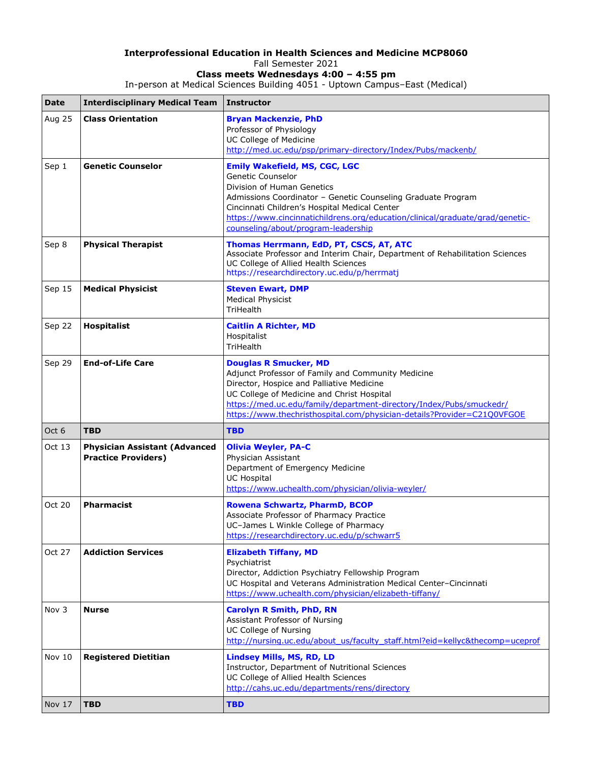## **Interprofessional Education in Health Sciences and Medicine MCP8060** Fall Semester 2021

**Class meets Wednesdays 4:00 – 4:55 pm** In-person at Medical Sciences Building 4051 - Uptown Campus–East (Medical)

| <b>Date</b> | <b>Interdisciplinary Medical Team</b>                              | Instructor                                                                                                                                                                                                                                                                                                                       |
|-------------|--------------------------------------------------------------------|----------------------------------------------------------------------------------------------------------------------------------------------------------------------------------------------------------------------------------------------------------------------------------------------------------------------------------|
| Aug 25      | <b>Class Orientation</b>                                           | <b>Bryan Mackenzie, PhD</b><br>Professor of Physiology<br>UC College of Medicine<br>http://med.uc.edu/psp/primary-directory/Index/Pubs/mackenb/                                                                                                                                                                                  |
| Sep 1       | <b>Genetic Counselor</b>                                           | <b>Emily Wakefield, MS, CGC, LGC</b><br>Genetic Counselor<br>Division of Human Genetics<br>Admissions Coordinator - Genetic Counseling Graduate Program<br>Cincinnati Children's Hospital Medical Center<br>https://www.cincinnatichildrens.org/education/clinical/graduate/grad/genetic-<br>counseling/about/program-leadership |
| Sep 8       | <b>Physical Therapist</b>                                          | Thomas Herrmann, EdD, PT, CSCS, AT, ATC<br>Associate Professor and Interim Chair, Department of Rehabilitation Sciences<br>UC College of Allied Health Sciences<br>https://researchdirectory.uc.edu/p/herrmatj                                                                                                                   |
| Sep 15      | <b>Medical Physicist</b>                                           | <b>Steven Ewart, DMP</b><br><b>Medical Physicist</b><br>TriHealth                                                                                                                                                                                                                                                                |
| Sep 22      | <b>Hospitalist</b>                                                 | <b>Caitlin A Richter, MD</b><br>Hospitalist<br>TriHealth                                                                                                                                                                                                                                                                         |
| Sep 29      | <b>End-of-Life Care</b>                                            | <b>Douglas R Smucker, MD</b><br>Adjunct Professor of Family and Community Medicine<br>Director, Hospice and Palliative Medicine<br>UC College of Medicine and Christ Hospital<br>https://med.uc.edu/family/department-directory/Index/Pubs/smuckedr/<br>https://www.thechristhospital.com/physician-details?Provider=C21Q0VFGOE  |
|             |                                                                    |                                                                                                                                                                                                                                                                                                                                  |
| Oct 6       | <b>TBD</b>                                                         | <b>TBD</b>                                                                                                                                                                                                                                                                                                                       |
| Oct 13      | <b>Physician Assistant (Advanced</b><br><b>Practice Providers)</b> | <b>Olivia Weyler, PA-C</b><br>Physician Assistant<br>Department of Emergency Medicine<br><b>UC Hospital</b><br>https://www.uchealth.com/physician/olivia-weyler/                                                                                                                                                                 |
| Oct 20      | <b>Pharmacist</b>                                                  | Rowena Schwartz, PharmD, BCOP<br>Associate Professor of Pharmacy Practice<br>UC-James L Winkle College of Pharmacy<br>https://researchdirectory.uc.edu/p/schwarr5                                                                                                                                                                |
| Oct 27      | <b>Addiction Services</b>                                          | <b>Elizabeth Tiffany, MD</b><br>Psychiatrist<br>Director, Addiction Psychiatry Fellowship Program<br>UC Hospital and Veterans Administration Medical Center-Cincinnati<br>https://www.uchealth.com/physician/elizabeth-tiffany/                                                                                                  |
| Nov 3       | <b>Nurse</b>                                                       | <b>Carolyn R Smith, PhD, RN</b><br>Assistant Professor of Nursing<br><b>UC College of Nursing</b><br>http://nursing.uc.edu/about_us/faculty_staff.html?eid=kellyc&thecomp=uceprof                                                                                                                                                |
| Nov 10      | <b>Registered Dietitian</b>                                        | Lindsey Mills, MS, RD, LD<br>Instructor, Department of Nutritional Sciences<br>UC College of Allied Health Sciences<br>http://cahs.uc.edu/departments/rens/directory                                                                                                                                                             |